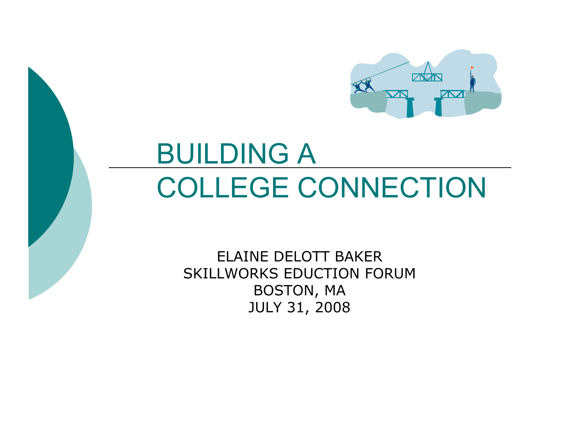

# BUILDING A COLLEGE CONNECTION

ELAINE DELOTT BAKER SKILLWORKS EDUCTION FORUM BOSTON, MA JULY 31, 2008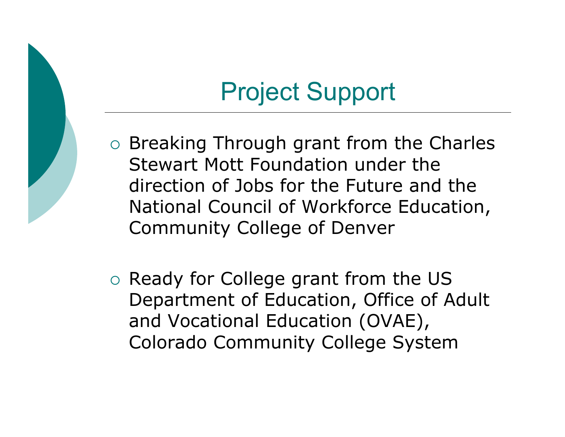## Project Support

- Breaking Through grant from the Charles Stewart Mott Foundation under the direction of Jobs for the Future and the National Council of Workforce Education, Community College of Denver
- o Ready for College grant from the US Department of Education, Office of Adult and Vocational Education (OVAE), Colorado Community College System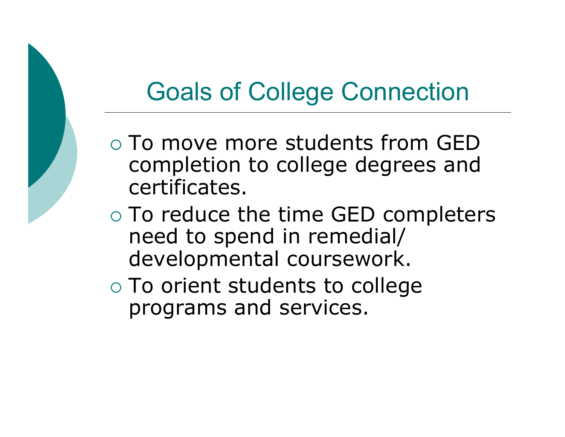## Goals of College Connection

- To move more students from GED completion to college degrees and certificates.
- To reduce the time GED completers need to spend in remedial/ developmental coursework.
- To orient students to college programs and services.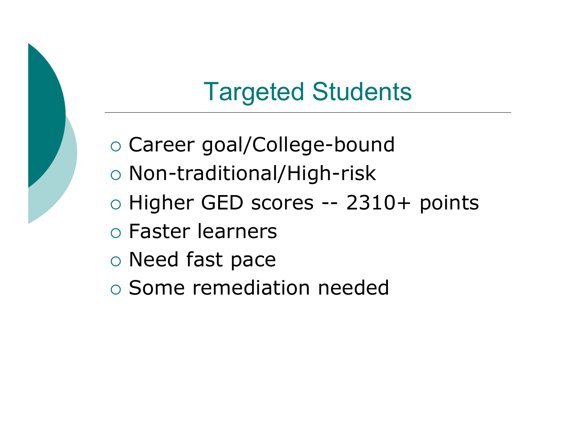## Targeted Students

- o Career goal/College-bound
- o Non-traditional/High-risk
- $\circ$  Higher GED scores -- 2310+ points
- Faster learners
- Need fast pace
- Some remediation needed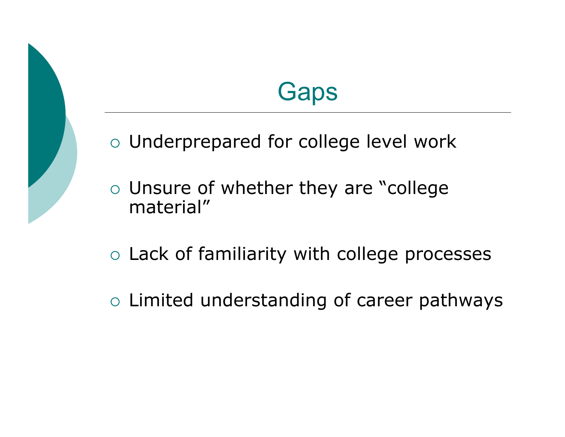### **Gaps**

- Underprepared for college level work
- Unsure of whether they are "college material"
- Lack of familiarity with college processes
- Limited understanding of career pathways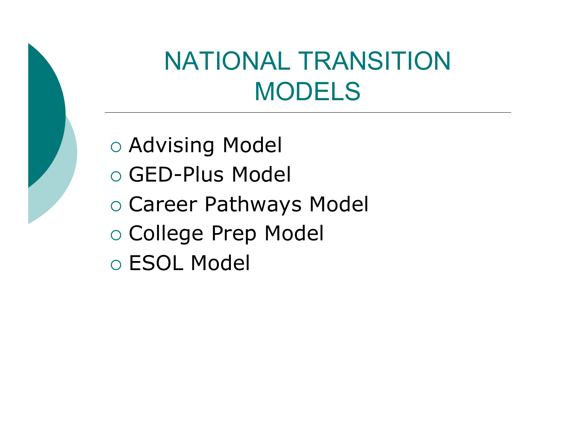## NATIONAL TRANSITION MODELS

- Advising Model
- GED-Plus Model
- o Career Pathways Model
- o College Prep Model
- ESOL Model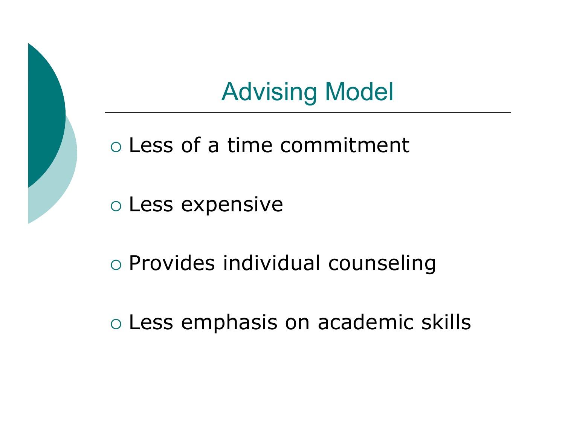## Advising Model

Less of a time commitment

Less expensive

Provides individual counseling

Less emphasis on academic skills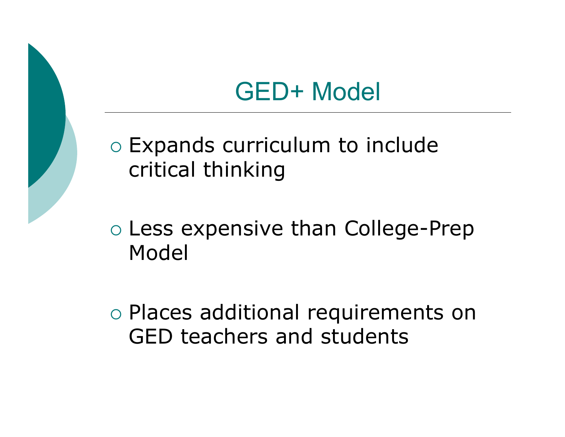### GED+ Model

#### Expands curriculum to include critical thinking

- Less expensive than College-Prep Model
- Places additional requirements on GED teachers and students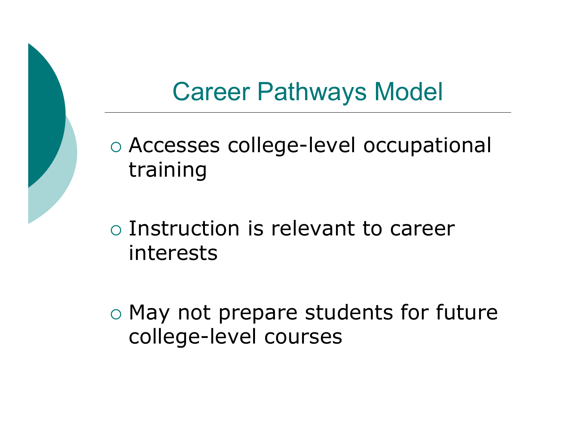## Career Pathways Model

#### Accesses college-level occupational training

 Instruction is relevant to career interests

o May not prepare students for future college-level courses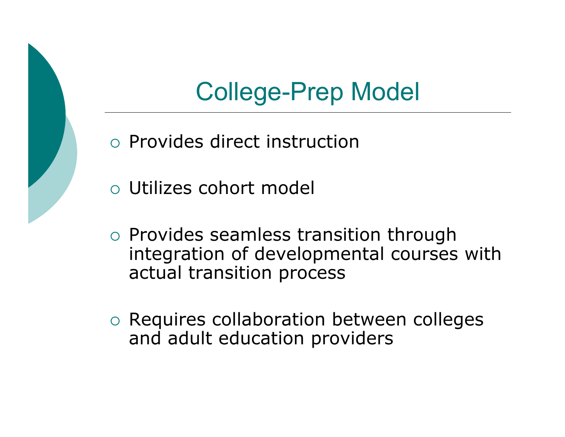## College-Prep Model

- Provides direct instruction
- Utilizes cohort model
- $\circ$  Provides seamless transition through integration of developmental courses with actual transition process
- o Requires collaboration between colleges and adult education providers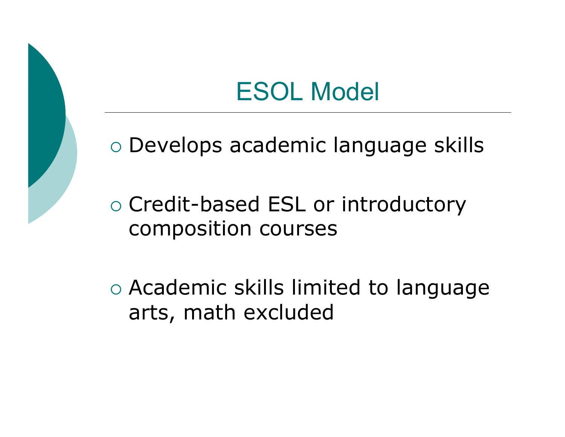### ESOL Model

#### Develops academic language skills

o Credit-based ESL or introductory composition courses

 Academic skills limited to language arts, math excluded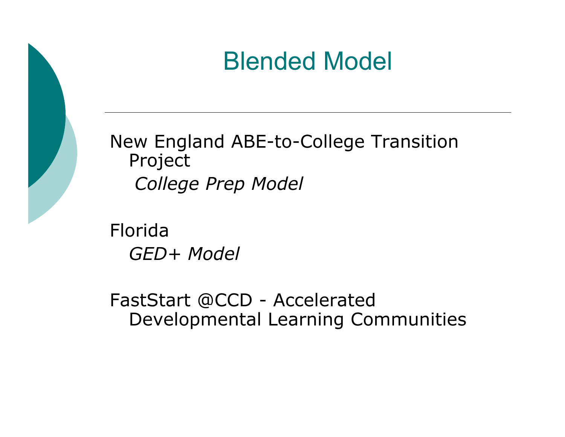

## Blended Model

New England ABE-to-College Transition Project  *College Prep Model*

Florida *GED+ Model* 

FastStart @CCD - Accelerated Developmental Learning Communities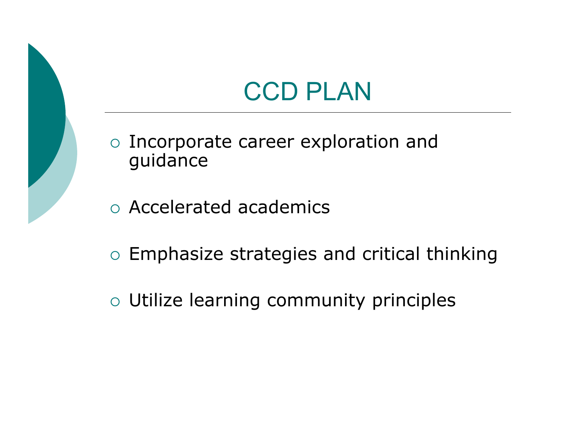## CCD PLAN

- Incorporate career exploration and guidance
- Accelerated academics
- Emphasize strategies and critical thinking
- Utilize learning community principles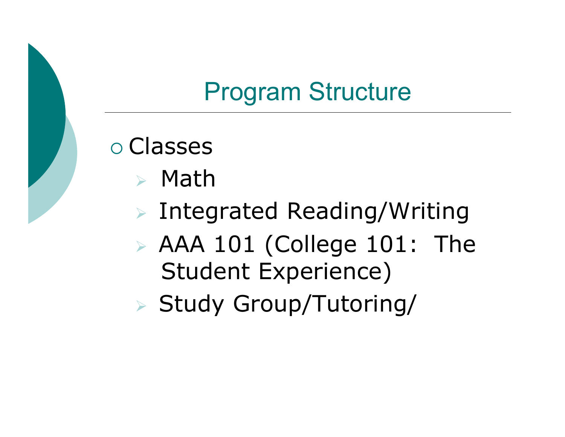## Program Structure

#### Classes

- Math
- Integrated Reading/Writing
- AAA 101 (College 101: The Student Experience)
- Study Group/Tutoring/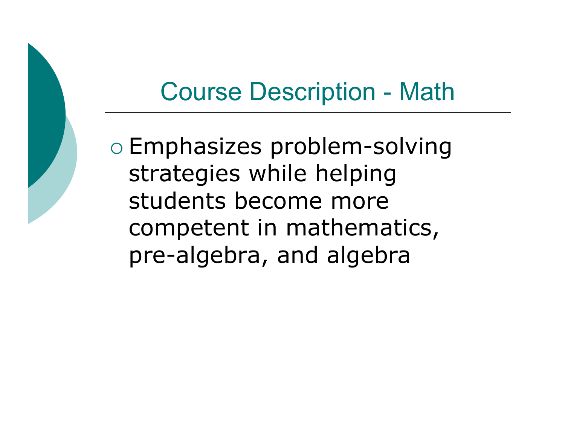## Course Description - Math

 Emphasizes problem-solving strategies while helping students become more competent in mathematics, pre-algebra, and algebra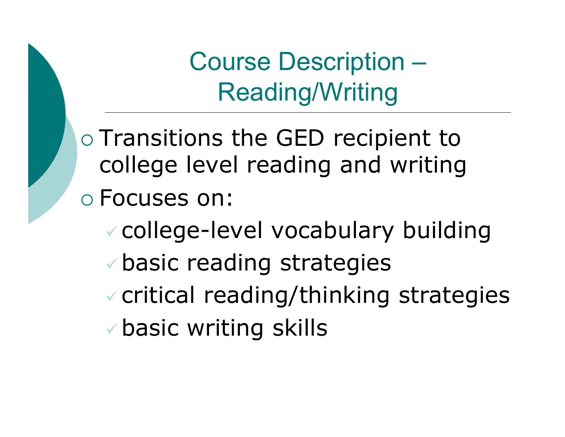Course Description – Reading/Writing

o Transitions the GED recipient to college level reading and writing Focuses on: college-level vocabulary building basic reading strategies critical reading/thinking strategies basic writing skills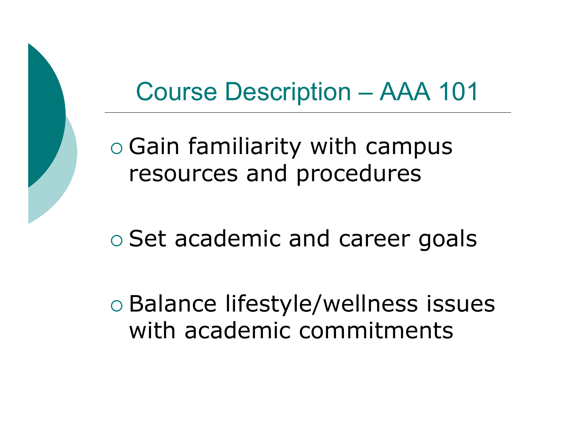### Course Description – AAA 101

 Gain familiarity with campus resources and procedures

o Set academic and career goals

 Balance lifestyle/wellness issues with academic commitments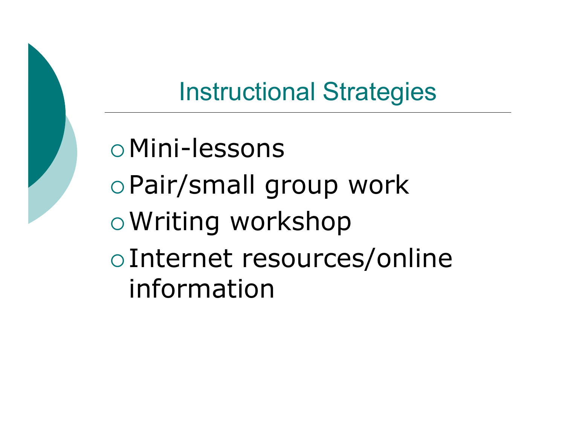## Instructional Strategies

 Mini-lessons Pair/small group work Writing workshop Internet resources/online information